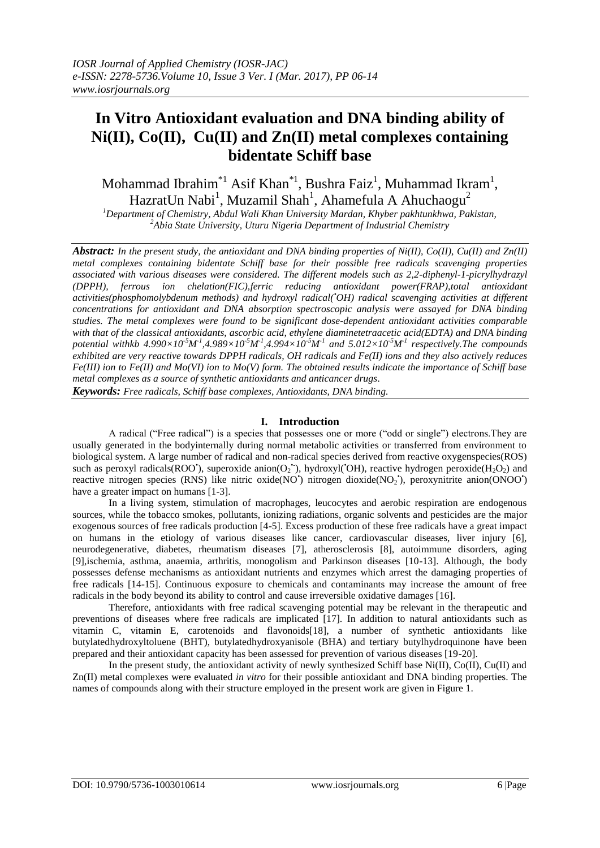# **In Vitro Antioxidant evaluation and DNA binding ability of Ni(II), Co(II), Cu(II) and Zn(II) metal complexes containing bidentate Schiff base**

Mohammad Ibrahim<sup>\*1</sup> Asif Khan<sup>\*1</sup>, Bushra Faiz<sup>1</sup>, Muhammad Ikram<sup>1</sup>, HazratUn Nabi $^1$ , Muzamil Shah $^1$ , Ahamefula A Ahuchaogu $^2$ 

*<sup>1</sup>Department of Chemistry, Abdul Wali Khan University Mardan, Khyber pakhtunkhwa, Pakistan, <sup>2</sup>Abia State University, Uturu Nigeria Department of Industrial Chemistry*

*Abstract: In the present study, the antioxidant and DNA binding properties of Ni(II), Co(II), Cu(II) and Zn(II) metal complexes containing bidentate Schiff base for their possible free radicals scavenging properties associated with various diseases were considered. The different models such as 2,2-diphenyl-1-picrylhydrazyl (DPPH), ferrous ion chelation(FIC),ferric reducing antioxidant power(FRAP),total antioxidant activities(phosphomolybdenum methods) and hydroxyl radical(•OH) radical scavenging activities at different concentrations for antioxidant and DNA absorption spectroscopic analysis were assayed for DNA binding studies. The metal complexes were found to be significant dose-dependent antioxidant activities comparable with that of the classical antioxidants, ascorbic acid, ethylene diaminetetraacetic acid(EDTA) and DNA binding*  potential withkb  $4.990\times10^5M^1, 4.989\times10^5M^1, 4.994\times10^5M^1$  and  $5.012\times10^5M^1$  respectively. The compounds *exhibited are very reactive towards DPPH radicals, OH radicals and Fe(II) ions and they also actively reduces Fe(III) ion to Fe(II) and Mo(VI) ion to Mo(V) form. The obtained results indicate the importance of Schiff base metal complexes as a source of synthetic antioxidants and anticancer drugs. Keywords: Free radicals, Schiff base complexes, Antioxidants, DNA binding.*

#### **I. Introduction**

A radical ("Free radical") is a species that possesses one or more ("odd or single") electrons.They are usually generated in the bodyinternally during normal metabolic activities or transferred from environment to biological system. A large number of radical and non-radical species derived from reactive oxygenspecies(ROS) such as peroxyl radicals(ROO'), superoxide anion(O<sub>2</sub>'), hydroxyl('OH), reactive hydrogen peroxide(H<sub>2</sub>O<sub>2</sub>) and reactive nitrogen species (RNS) like nitric oxide(NO<sup>+</sup>) nitrogen dioxide(NO<sub>2</sub><sup>+</sup>), peroxynitrite anion(ONOO<sup>+</sup>) have a greater impact on humans [1-3].

In a living system, stimulation of macrophages, leucocytes and aerobic respiration are endogenous sources, while the tobacco smokes, pollutants, ionizing radiations, organic solvents and pesticides are the major exogenous sources of free radicals production [4-5]. Excess production of these free radicals have a great impact on humans in the etiology of various diseases like cancer, cardiovascular diseases, liver injury [6], neurodegenerative, diabetes, rheumatism diseases [7], atherosclerosis [8], autoimmune disorders, aging [9],ischemia, asthma, anaemia, arthritis, monogolism and Parkinson diseases [10-13]. Although, the body possesses defense mechanisms as antioxidant nutrients and enzymes which arrest the damaging properties of free radicals [14-15]. Continuous exposure to chemicals and contaminants may increase the amount of free radicals in the body beyond its ability to control and cause irreversible oxidative damages [16].

Therefore, antioxidants with free radical scavenging potential may be relevant in the therapeutic and preventions of diseases where free radicals are implicated [17]. In addition to natural antioxidants such as vitamin C, vitamin E, carotenoids and flavonoids[18], a number of synthetic antioxidants like butylatedhydroxyltoluene (BHT), butylatedhydroxyanisole (BHA) and tertiary butylhydroquinone have been prepared and their antioxidant capacity has been assessed for prevention of various diseases [19-20].

In the present study, the antioxidant activity of newly synthesized Schiff base  $Ni(II)$ ,  $Co(II)$ ,  $Cu(II)$  and Zn(II) metal complexes were evaluated *in vitro* for their possible antioxidant and DNA binding properties. The names of compounds along with their structure employed in the present work are given in Figure 1.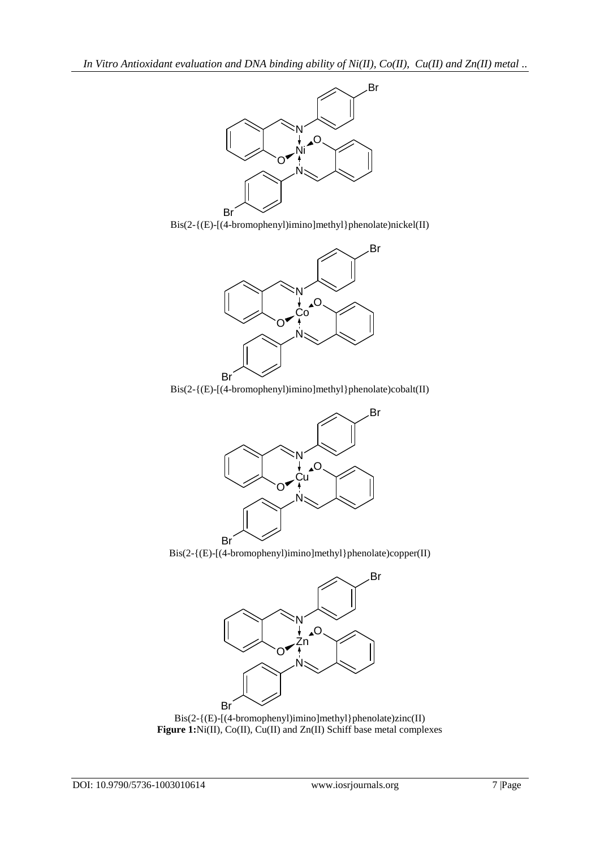





Bis(2-{(E)-[(4-bromophenyl)imino]methyl}phenolate)cobalt(II)



Bis(2-{(E)-[(4-bromophenyl)imino]methyl}phenolate)copper(II)



Bis(2-{(E)-[(4-bromophenyl)imino]methyl}phenolate)zinc(II) **Figure 1:**Ni(II), Co(II), Cu(II) and Zn(II) Schiff base metal complexes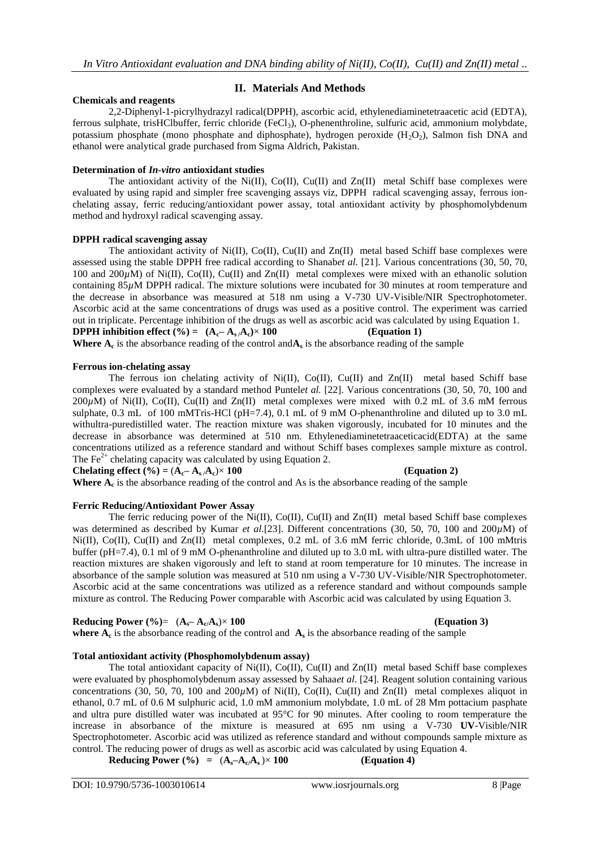# **II. Materials And Methods**

# **Chemicals and reagents**

2,2-Diphenyl-1-picrylhydrazyl radical(DPPH), ascorbic acid, ethylenediaminetetraacetic acid (EDTA), ferrous sulphate, trisHClbuffer, ferric chloride (FeCl3), O-phenenthroline, sulfuric acid, ammonium molybdate, potassium phosphate (mono phosphate and diphosphate), hydrogen peroxide  $(H_2O_2)$ , Salmon fish DNA and ethanol were analytical grade purchased from Sigma Aldrich, Pakistan.

### **Determination of** *In-vitro* **antioxidant studies**

The antioxidant activity of the Ni(II), Co(II), Cu(II) and  $Zn(II)$  metal Schiff base complexes were evaluated by using rapid and simpler free scavenging assays viz, DPPH radical scavenging assay, ferrous ionchelating assay, ferric reducing/antioxidant power assay, total antioxidant activity by phosphomolybdenum method and hydroxyl radical scavenging assay.

#### **DPPH radical scavenging assay**

The antioxidant activity of Ni(II), Co(II), Cu(II) and  $Zn(II)$  metal based Schiff base complexes were assessed using the stable DPPH free radical according to Shanab*et al.* [21]. Various concentrations (30, 50, 70, 100 and 200 $\mu$ M) of Ni(II), Co(II), Cu(II) and Zn(II) metal complexes were mixed with an ethanolic solution containing 85*µ*M DPPH radical. The mixture solutions were incubated for 30 minutes at room temperature and the decrease in absorbance was measured at 518 nm using a V-730 UV-Visible/NIR Spectrophotometer. Ascorbic acid at the same concentrations of drugs was used as a positive control. The experiment was carried out in triplicate. Percentage inhibition of the drugs as well as ascorbic acid was calculated by using Equation 1. **DPPH inhibition effect (%) =**  $(A_c - A_s / A_c) \times 100$  **(Equation 1)** 

**Where**  $A_c$  is the absorbance reading of the control and  $A_s$  is the absorbance reading of the sample

#### **Ferrous ion-chelating assay**

The ferrous ion chelating activity of Ni(II), Co(II), Cu(II) and  $Zn(II)$  metal based Schiff base complexes were evaluated by a standard method Puntel*et al.* [22]. Various concentrations (30, 50, 70, 100 and 200*µ*M) of Ni(II), Co(II), Cu(II) and Zn(II) metal complexes were mixed with 0.2 mL of 3.6 mM ferrous sulphate, 0.3 mL of 100 mMTris-HCl (pH=7.4), 0.1 mL of 9 mM O-phenanthroline and diluted up to 3.0 mL withultra-puredistilled water. The reaction mixture was shaken vigorously, incubated for 10 minutes and the decrease in absorbance was determined at 510 nm. Ethylenediaminetetraaceticacid(EDTA) at the same concentrations utilized as a reference standard and without Schiff bases complexes sample mixture as control. The  $Fe^{2+}$  chelating capacity was calculated by using Equation 2.

**Chelating effect (%)** =  $(A_c - A_s/A_c) \times 100$  (Equation 2)

Where  $A_c$  is the absorbance reading of the control and As is the absorbance reading of the sample

#### **Ferric Reducing/Antioxidant Power Assay**

The ferric reducing power of the Ni(II), Co(II), Cu(II) and Zn(II) metal based Schiff base complexes was determined as described by Kumar *et al.*[23]. Different concentrations (30, 50, 70, 100 and 200 $\mu$ M) of Ni(II), Co(II), Cu(II) and Zn(II) metal complexes, 0.2 mL of 3.6 mM ferric chloride, 0.3mL of 100 mMtris buffer (pH=7.4), 0.1 ml of 9 mM O-phenanthroline and diluted up to 3.0 mL with ultra-pure distilled water. The reaction mixtures are shaken vigorously and left to stand at room temperature for 10 minutes. The increase in absorbance of the sample solution was measured at 510 nm using a V-730 UV-Visible/NIR Spectrophotometer. Ascorbic acid at the same concentrations was utilized as a reference standard and without compounds sample mixture as control. The Reducing Power comparable with Ascorbic acid was calculated by using Equation 3.

# **Reducing Power (%)**=  $(A_s - A_c/A_s) \times 100$  (Equation 3)

**where**  $A_c$  is the absorbance reading of the control and  $A_s$  is the absorbance reading of the sample

# **Total antioxidant activity (Phosphomolybdenum assay)**

The total antioxidant capacity of  $Ni(II)$ ,  $Co(II)$ ,  $Cu(II)$  and  $Zn(II)$  metal based Schiff base complexes were evaluated by phosphomolybdenum assay assessed by Sahaa*et al*. [24]. Reagent solution containing various concentrations (30, 50, 70, 100 and 200 $\mu$ M) of Ni(II), Co(II), Cu(II) and Zn(II) metal complexes aliquot in ethanol, 0.7 mL of 0.6 M sulphuric acid, 1.0 mM ammonium molybdate, 1.0 mL of 28 Mm pottacium pasphate and ultra pure distilled water was incubated at 95°C for 90 minutes. After cooling to room temperature the increase in absorbance of the mixture is measured at 695 nm using a V-730 **UV**-Visible/NIR Spectrophotometer. Ascorbic acid was utilized as reference standard and without compounds sample mixture as control. The reducing power of drugs as well as ascorbic acid was calculated by using Equation 4. **Reducing Power (%) =** (**As–Ac/As** )× **100 (Equation 4)**

Reducing Power (%) = 
$$
(A_s - A_c/A_s) \times 100
$$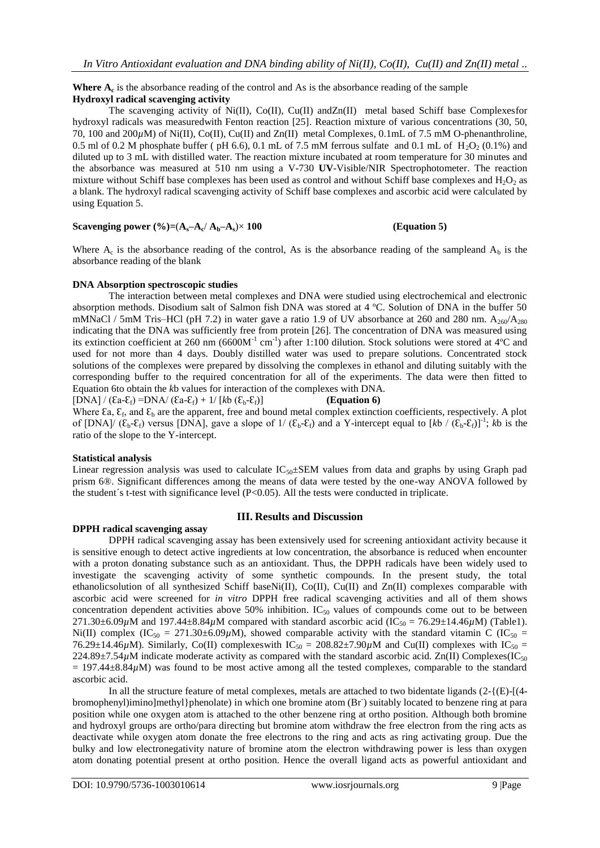#### Where  $A_c$  is the absorbance reading of the control and As is the absorbance reading of the sample **Hydroxyl radical scavenging activity**

The scavenging activity of Ni(II), Co(II), Cu(II) andZn(II) metal based Schiff base Complexesfor hydroxyl radicals was measuredwith Fenton reaction [25]. Reaction mixture of various concentrations (30, 50, 70, 100 and 200*µ*M) of Ni(II), Co(II), Cu(II) and Zn(II) metal Complexes, 0.1mL of 7.5 mM O-phenanthroline, 0.5 ml of 0.2 M phosphate buffer ( pH 6.6), 0.1 mL of 7.5 mM ferrous sulfate and 0.1 mL of  $H_2O_2$  (0.1%) and diluted up to 3 mL with distilled water. The reaction mixture incubated at room temperature for 30 minutes and the absorbance was measured at 510 nm using a V-730 **UV**-Visible/NIR Spectrophotometer. The reaction mixture without Schiff base complexes has been used as control and without Schiff base complexes and  $H_2O_2$  as a blank. The hydroxyl radical scavenging activity of Schiff base complexes and ascorbic acid were calculated by using Equation 5.

#### **Scavenging power (%)**=( $A_s$ – $A_c$ / $A_b$ – $A_s$ )× **100** (**Equation 5**)

Where  $A_c$  is the absorbance reading of the control, As is the absorbance reading of the sampleand  $A_b$  is the absorbance reading of the blank

#### **DNA Absorption spectroscopic studies**

The interaction between metal complexes and DNA were studied using electrochemical and electronic absorption methods. Disodium salt of Salmon fish DNA was stored at 4 ºC. Solution of DNA in the buffer 50 mMNaCl / 5mM Tris–HCl (pH 7.2) in water gave a ratio 1.9 of UV absorbance at 260 and 280 nm.  $A_{260}/A_{280}$ indicating that the DNA was sufficiently free from protein [26]. The concentration of DNA was measured using its extinction coefficient at 260 nm (6600M<sup>-1</sup> cm<sup>-1</sup>) after 1:100 dilution. Stock solutions were stored at 4°C and used for not more than 4 days. Doubly distilled water was used to prepare solutions. Concentrated stock solutions of the complexes were prepared by dissolving the complexes in ethanol and diluting suitably with the corresponding buffer to the required concentration for all of the experiments. The data were then fitted to Equation 6to obtain the *k*b values for interaction of the complexes with DNA.

 $[DNA] / (Ea-E_f) = DNA / (Ea-E_f) + 1/ [kb (E_b-E_f)]$  **(Equation 6)** 

Where  $\epsilon$ a,  $\epsilon$ <sub>f</sub>, and  $\epsilon$ <sub>b</sub> are the apparent, free and bound metal complex extinction coefficients, respectively. A plot of [DNA]/  $(\mathcal{E}_b - \mathcal{E}_f)$  versus [DNA], gave a slope of 1/ $(\mathcal{E}_b - \mathcal{E}_f)$  and a Y-intercept equal to  $[kb / (\mathcal{E}_b - \mathcal{E}_f)]^{-1}$ ; *kb* is the ratio of the slope to the Y-intercept.

#### **Statistical analysis**

Linear regression analysis was used to calculate  $IC_{50} \pm SEM$  values from data and graphs by using Graph pad prism 6®. Significant differences among the means of data were tested by the one-way ANOVA followed by the student's t-test with significance level  $(P<0.05)$ . All the tests were conducted in triplicate.

# **DPPH radical scavenging assay**

# **III. Results and Discussion**

DPPH radical scavenging assay has been extensively used for screening antioxidant activity because it is sensitive enough to detect active ingredients at low concentration, the absorbance is reduced when encounter with a proton donating substance such as an antioxidant. Thus, the DPPH radicals have been widely used to investigate the scavenging activity of some synthetic compounds. In the present study, the total ethanolicsolution of all synthesized Schiff baseNi(II), Co(II), Cu(II) and Zn(II) complexes comparable with ascorbic acid were screened for *in vitro* DPPH free radical scavenging activities and all of them shows concentration dependent activities above  $50\%$  inhibition. IC<sub>50</sub> values of compounds come out to be between 271.30 $\pm$ 6.09 $\mu$ M and 197.44 $\pm$ 8.84 $\mu$ M compared with standard ascorbic acid (IC<sub>50</sub> = 76.29 $\pm$ 14.46 $\mu$ M) (Table1). Ni(II) complex (IC<sub>50</sub> = 271.30±6.09 $\mu$ M), showed comparable activity with the standard vitamin C (IC<sub>50</sub> = 76.29±14.46 $\mu$ M). Similarly, Co(II) complexes with IC<sub>50</sub> = 208.82±7.90 $\mu$ M and Cu(II) complexes with IC<sub>50</sub> = 224.89±7.54 $\mu$ M indicate moderate activity as compared with the standard ascorbic acid. Zn(II) Complexes(IC<sub>50</sub>  $= 197.44\pm8.84\mu$ M) was found to be most active among all the tested complexes, comparable to the standard ascorbic acid.

In all the structure feature of metal complexes, metals are attached to two bidentate ligands  $(2-\{(E)-[(4-E))\})$ bromophenyl)imino]methyl}phenolate) in which one bromine atom (Br<sup>-</sup>) suitably located to benzene ring at para position while one oxygen atom is attached to the other benzene ring at ortho position. Although both bromine and hydroxyl groups are ortho/para directing but bromine atom withdraw the free electron from the ring acts as deactivate while oxygen atom donate the free electrons to the ring and acts as ring activating group. Due the bulky and low electronegativity nature of bromine atom the electron withdrawing power is less than oxygen atom donating potential present at ortho position. Hence the overall ligand acts as powerful antioxidant and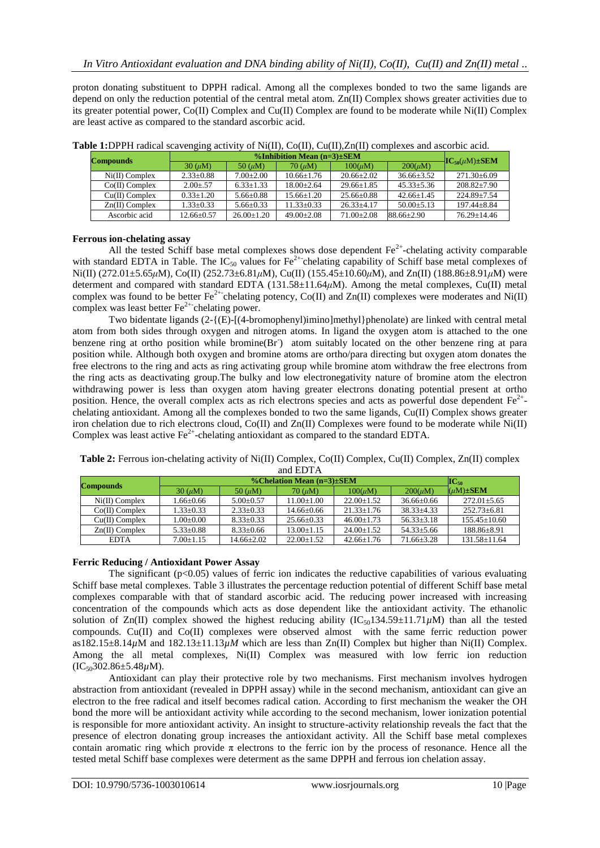proton donating substituent to DPPH radical. Among all the complexes bonded to two the same ligands are depend on only the reduction potential of the central metal atom. Zn(II) Complex shows greater activities due to its greater potential power, Co(II) Complex and Cu(II) Complex are found to be moderate while Ni(II) Complex are least active as compared to the standard ascorbic acid.

| <b>Compounds</b> |                 |               |                 |                |                |                           |
|------------------|-----------------|---------------|-----------------|----------------|----------------|---------------------------|
|                  | $30 \, (\mu M)$ | 50 $(\mu M)$  | $70 \, (\mu M)$ | $100(\mu M)$   | $200(\mu M)$   | $-IC_{50}(\mu M) \pm SEM$ |
| $Ni(II)$ Complex | $2.33 \pm 0.88$ | $7.00+2.00$   | $10.66 + 1.76$  | $20.66 + 2.02$ | $36.66 + 3.52$ | $271.30 \pm 6.09$         |
| $Co(II)$ Complex | $2.00 + 57$     | $6.33 + 1.33$ | $18.00+2.64$    | $29.66 + 1.85$ | $45.33 + 5.36$ | $208.82 + 7.90$           |
| $Cu(II)$ Complex | $0.33 + 1.20$   | $5.66 + 0.88$ | $15.66 + 1.20$  | $25.66 + 0.88$ | $42.66 + 1.45$ | $224.89 + 7.54$           |
| $Zn(II)$ Complex | $1.33 \pm 0.33$ | $5.66 + 0.33$ | $11.33 + 0.33$  | $26.33 + 4.17$ | $50.00 + 5.13$ | $197.44 + 8.84$           |
| Ascorbic acid    | $12.66 + 0.57$  | $26.00+1.20$  | $49.00+2.08$    | $71.00 + 2.08$ | 88.66+2.90     | $76.29 + 14.46$           |

**Table 1:**DPPH radical scavenging activity of Ni(II), Co(II), Cu(II),Zn(II) complexes and ascorbic acid.

#### **Ferrous ion-chelating assay**

All the tested Schiff base metal complexes shows dose dependent  $Fe^{2+}$ -chelating activity comparable with standard EDTA in Table. The  $IC_{50}$  values for  $Fe^{2+}$ chelating capability of Schiff base metal complexes of Ni(II) (272.01±5.65*μ*M), Co(II) (252.73±6.81*μ*M), Cu(II) (155.45±10.60*μ*M), and Zn(II) (188.86±8.91*μ*M) were determent and compared with standard EDTA (131.58±11.64*μ*M). Among the metal complexes, Cu(II) metal complex was found to be better  $Fe^{2+}$ chelating potency, Co(II) and Zn(II) complexes were moderates and Ni(II) complex was least better  $\text{Fe}^{2+}$ chelating power.

Two bidentate ligands (2-{(E)-[(4-bromophenyl)imino]methyl}phenolate) are linked with central metal atom from both sides through oxygen and nitrogen atoms. In ligand the oxygen atom is attached to the one benzene ring at ortho position while bromine(Br) atom suitably located on the other benzene ring at para position while. Although both oxygen and bromine atoms are ortho/para directing but oxygen atom donates the free electrons to the ring and acts as ring activating group while bromine atom withdraw the free electrons from the ring acts as deactivating group.The bulky and low electronegativity nature of bromine atom the electron withdrawing power is less than oxygen atom having greater electrons donating potential present at ortho position. Hence, the overall complex acts as rich electrons species and acts as powerful dose dependent  $Fe<sup>2+</sup>$ . chelating antioxidant. Among all the complexes bonded to two the same ligands, Cu(II) Complex shows greater iron chelation due to rich electrons cloud, Co(II) and Zn(II) Complexes were found to be moderate while Ni(II) Complex was least active  $\text{Fe}^{2+}$ -chelating antioxidant as compared to the standard EDTA.

| <b>Compounds</b> |                 | $IC_{50}$       |                 |                |                |                   |
|------------------|-----------------|-----------------|-----------------|----------------|----------------|-------------------|
|                  | $30 \, (\mu M)$ | $50 \, (\mu M)$ | $70 \, (\mu M)$ | $100(\mu M)$   | $200(\mu M)$   | $(\mu M) \pm SEM$ |
| $Ni(II)$ Complex | $1.66 \pm 0.66$ | $5.00+0.57$     | $11.00 + 1.00$  | $22.00+1.52$   | $36.66 + 0.66$ | $272.01 + 5.65$   |
| $Co(II)$ Complex | $1.33 + 0.33$   | $2.33+0.33$     | $14.66 + 0.66$  | $21.33 + 1.76$ | $38.33 + 4.33$ | $252.73 + 6.81$   |
| $Cu(II)$ Complex | $0.00 + 0.00$   | $8.33+0.33$     | $25.66 + 0.33$  | $46.00+1.73$   | $56.33 + 3.18$ | $155.45+10.60$    |
| $Zn(II)$ Complex | $5.33 \pm 0.88$ | $8.33+0.66$     | $13.00 + 1.15$  | $24.00+1.52$   | $54.33 + 5.66$ | $188.86 \pm 8.91$ |
| <b>EDTA</b>      | $7.00 + 1.15$   | $14.66 + 2.02$  | $22.00+1.52$    | $42.66 + 1.76$ | $71.66 + 3.28$ | $131.58 + 11.64$  |

**Table 2:** Ferrous ion-chelating activity of Ni(II) Complex, Co(II) Complex, Cu(II) Complex, Zn(II) complex and EDTA

#### **Ferric Reducing / Antioxidant Power Assay**

The significant  $(p<0.05)$  values of ferric ion indicates the reductive capabilities of various evaluating Schiff base metal complexes. Table 3 illustrates the percentage reduction potential of different Schiff base metal complexes comparable with that of standard ascorbic acid. The reducing power increased with increasing concentration of the compounds which acts as dose dependent like the antioxidant activity. The ethanolic solution of Zn(II) complex showed the highest reducing ability  $(IC_{50}134.59\pm11.71\mu M)$  than all the tested compounds. Cu(II) and Co(II) complexes were observed almost with the same ferric reduction power as182.15±8.14*µ*M and 182.13±11.13*µM* which are less than Zn(II) Complex but higher than Ni(II) Complex. Among the all metal complexes, Ni(II) Complex was measured with low ferric ion reduction (IC50302.86±5.48*µ*M).

Antioxidant can play their protective role by two mechanisms. First mechanism involves hydrogen abstraction from antioxidant (revealed in DPPH assay) while in the second mechanism, antioxidant can give an electron to the free radical and itself becomes radical cation. According to first mechanism the weaker the OH bond the more will be antioxidant activity while according to the second mechanism, lower ionization potential is responsible for more antioxidant activity. An insight to structure-activity relationship reveals the fact that the presence of electron donating group increases the antioxidant activity. All the Schiff base metal complexes contain aromatic ring which provide  $\pi$  electrons to the ferric ion by the process of resonance. Hence all the tested metal Schiff base complexes were determent as the same DPPH and ferrous ion chelation assay.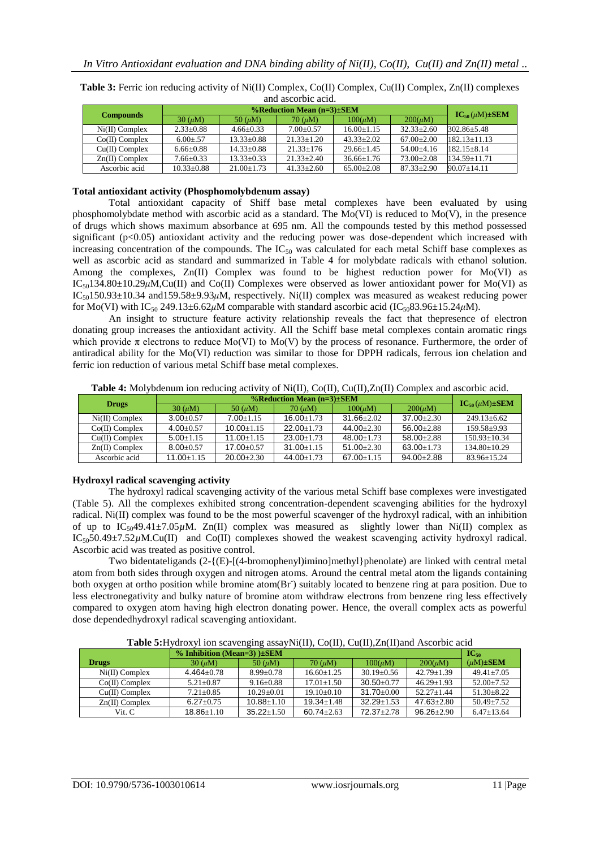| $\frac{1}{2}$    |                 |                  |                  |                  |                |                          |  |
|------------------|-----------------|------------------|------------------|------------------|----------------|--------------------------|--|
|                  |                 |                  |                  |                  |                |                          |  |
| <b>Compounds</b> | $30 \, (\mu M)$ | 50 $(\mu M)$     | $70 \, (\mu M)$  | $100(\mu M)$     | $200(\mu M)$   | $IC_{50}(\mu M) \pm SEM$ |  |
| $Ni(II)$ Complex | $2.33 \pm 0.88$ | $4.66 \pm 0.33$  | $7.00+0.57$      | $16.00 + 1.15$   | $32.33 + 2.60$ | $302.86 \pm 5.48$        |  |
| $Co(II)$ Complex | $6.00 + 57$     | $13.33 \pm 0.88$ | $21.33 \pm 1.20$ | $43.33 + 2.02$   | $67.00+2.00$   | $182.13 + 11.13$         |  |
| $Cu(II)$ Complex | $6.66 \pm 0.88$ | $14.33 \pm 0.88$ | $21.33 \pm 176$  | $29.66 + 1.45$   | $54.00 + 4.16$ | $182.15 \pm 8.14$        |  |
| $Zn(II)$ Complex | $7.66 \pm 0.33$ | $13.33 \pm 0.33$ | $21.33 \pm 2.40$ | $36.66 \pm 1.76$ | $73.00 + 2.08$ | $134.59 + 11.71$         |  |
| Ascorbic acid    | $10.33 + 0.88$  | $21.00+1.73$     | $41.33 + 2.60$   | $65.00 + 2.08$   | $87.33 + 2.90$ | $90.07 + 14.11$          |  |

**Table 3:** Ferric ion reducing activity of Ni(II) Complex, Co(II) Complex, Cu(II) Complex, Zn(II) complexes and ascorbic acid.

#### **Total antioxidant activity (Phosphomolybdenum assay)**

Total antioxidant capacity of Shiff base metal complexes have been evaluated by using phosphomolybdate method with ascorbic acid as a standard. The Mo(VI) is reduced to Mo(V), in the presence of drugs which shows maximum absorbance at 695 nm. All the compounds tested by this method possessed significant (p<0.05) antioxidant activity and the reducing power was dose-dependent which increased with increasing concentration of the compounds. The  $IC_{50}$  was calculated for each metal Schiff base complexes as well as ascorbic acid as standard and summarized in Table 4 for molybdate radicals with ethanol solution. Among the complexes, Zn(II) Complex was found to be highest reduction power for Mo(VI) as  $IC_{50}134.80\pm10.29\mu$ M,Cu(II) and Co(II) Complexes were observed as lower antioxidant power for Mo(VI) as IC50150.93±10.34 and159.58±9.93*μ*M, respectively. Ni(II) complex was measured as weakest reducing power for Mo(VI) with IC<sub>50</sub> 249.13±6.62 $\mu$ M comparable with standard ascorbic acid (IC<sub>50</sub>83.96±15.24 $\mu$ M).

An insight to structure feature activity relationship reveals the fact that thepresence of electron donating group increases the antioxidant activity. All the Schiff base metal complexes contain aromatic rings which provide  $\pi$  electrons to reduce Mo(VI) to Mo(V) by the process of resonance. Furthermore, the order of antiradical ability for the Mo(VI) reduction was similar to those for DPPH radicals, ferrous ion chelation and ferric ion reduction of various metal Schiff base metal complexes.

**Table 4:** Molybdenum ion reducing activity of Ni(II), Co(II), Cu(II),Zn(II) Complex and ascorbic acid.

| <b>Drugs</b>     |                 | $IC_{50}(\mu M) \pm SEM$ |                |                |                |                  |
|------------------|-----------------|--------------------------|----------------|----------------|----------------|------------------|
|                  | $30 \, (\mu M)$ | $50 \, (\mu M)$          | $70 \ (\mu M)$ | $100(\mu M)$   | $200(\mu M)$   |                  |
| $Ni(II)$ Complex | $3.00+0.57$     | $7.00 + 1.15$            | $16.00 + 1.73$ | $31.66 + 2.02$ | $37.00 + 2.30$ | $249.13 + 6.62$  |
| $Co(II)$ Complex | $4.00+0.57$     | $10.00 + 1.15$           | $22.00+1.73$   | $44.00 + 2.30$ | $56.00 + 2.88$ | $159.58+9.93$    |
| $Cu(II)$ Complex | $5.00 + 1.15$   | $11.00 + 1.15$           | $23.00 + 1.73$ | $48.00 + 1.73$ | $58.00 + 2.88$ | $150.93 + 10.34$ |
| $Zn(II)$ Complex | $8.00 + 0.57$   | $17.00 + 0.57$           | $31.00 + 1.15$ | $51.00 + 2.30$ | $63.00 + 1.73$ | $134.80 + 10.29$ |
| Ascorbic acid    | $11.00 + 1.15$  | $20.00+2.30$             | $44.00 + 1.73$ | $67.00 + 1.15$ | $94.00 + 2.88$ | $83.96 + 15.24$  |

# **Hydroxyl radical scavenging activity**

The hydroxyl radical scavenging activity of the various metal Schiff base complexes were investigated (Table 5). All the complexes exhibited strong concentration-dependent scavenging abilities for the hydroxyl radical. Ni(II) complex was found to be the most powerful scavenger of the hydroxyl radical, with an inhibition of up to  $IC_{50}49.41 \pm 7.05 \mu M$ . Zn(II) complex was measured as slightly lower than Ni(II) complex as  $IC_{50}50.49\pm7.52 \mu M.Cu(II)$  and  $Co(II)$  complexes showed the weakest scavenging activity hydroxyl radical. Ascorbic acid was treated as positive control.

Two bidentateligands  $(2-\{(E) - [(4-bromopheny]\}$ imino]methyl}phenolate) are linked with central metal atom from both sides through oxygen and nitrogen atoms. Around the central metal atom the ligands containing both oxygen at ortho position while bromine atom(Br) suitably located to benzene ring at para position. Due to less electronegativity and bulky nature of bromine atom withdraw electrons from benzene ring less effectively compared to oxygen atom having high electron donating power. Hence, the overall complex acts as powerful dose dependedhydroxyl radical scavenging antioxidant.

**Table 5:**Hydroxyl ion scavenging assayNi(II), Co(II), Cu(II),Zn(II)and Ascorbic acid

|                  | $% Inhibition (Mean=3)$ ) $\pm$ SEM | $IC_{50}$       |                |                  |                |                   |
|------------------|-------------------------------------|-----------------|----------------|------------------|----------------|-------------------|
| <b>Drugs</b>     | $30 \, (\mu M)$                     | 50 $(\mu M)$    | $70 \ (\mu M)$ | $100(\mu M)$     | $200(\mu M)$   | $(\mu M) \pm SEM$ |
| $Ni(II)$ Complex | $4.464 + 0.78$                      | $8.99 + 0.78$   | $16.60 + 1.25$ | $30.19 \pm 0.56$ | $42.79 + 1.39$ | $49.41 + 7.05$    |
| $Co(II)$ Complex | $5.21 + 0.87$                       | $9.16 \pm 0.88$ | $17.01 + 1.50$ | $30.50 + 0.77$   | $46.29 + 1.93$ | $52.00+7.52$      |
| $Cu(II)$ Complex | $7.21 + 0.85$                       | $10.29 + 0.01$  | $19.10+0.10$   | $31.70 + 0.00$   | $52.27+1.44$   | $51.30 + 8.22$    |
| $Zn(II)$ Complex | $6.27 + 0.75$                       | $10.88 + 1.10$  | $19.34 + 1.48$ | $32.29 + 1.53$   | $47.63 + 2.80$ | $50.49 + 7.52$    |
| Vit. C           | $18.86 + 1.10$                      | $35.22 + 1.50$  | $60.74 + 2.63$ | $72.37 + 2.78$   | $96.26 + 2.90$ | $6.47+13.64$      |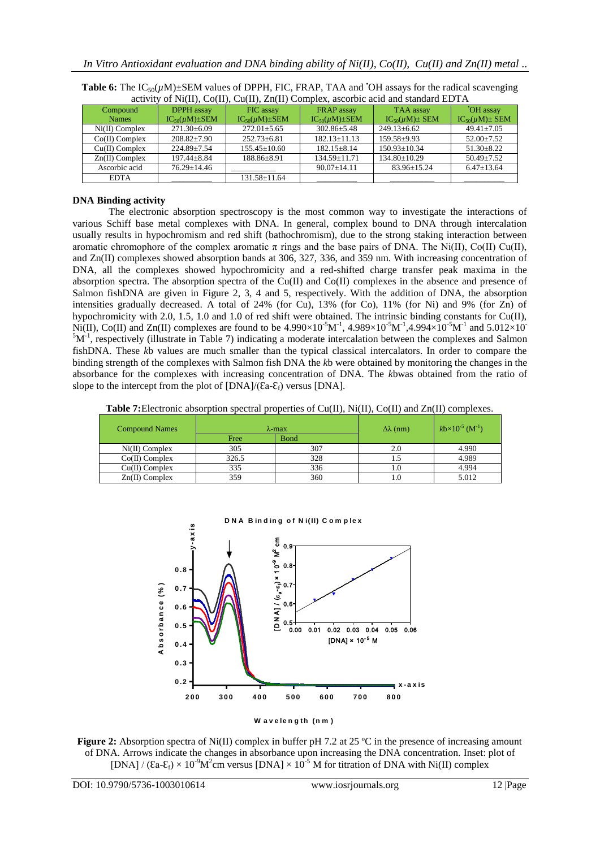| activity of initial, Co(11), Cu(11), Zil(11) Complex, ascorbic acid and standard ED IA |                          |                          |                          |                          |                          |  |
|----------------------------------------------------------------------------------------|--------------------------|--------------------------|--------------------------|--------------------------|--------------------------|--|
| Compound                                                                               | DPPH assay               | FIC assay                | FRAP assay               | TAA assay                | <b>OH</b> assay          |  |
| <b>Names</b>                                                                           | $IC_{50}(\mu M) \pm SEM$ | $IC_{50}(\mu M) \pm SEM$ | $IC_{50}(\mu M) \pm SEM$ | $IC_{50}(\mu M) \pm SEM$ | $IC_{50}(\mu M) \pm SEM$ |  |
| $Ni(II)$ Complex                                                                       | $271.30 \pm 6.09$        | $272.01 \pm 5.65$        | $302.86 \pm 5.48$        | $249.13 \pm 6.62$        | $49.41 \pm 7.05$         |  |
| $Co(II)$ Complex                                                                       | $208.82 \pm 7.90$        | $252.73 \pm 6.81$        | $182.13 \pm 11.13$       | $159.58 + 9.93$          | $52.00+7.52$             |  |
| $Cu(II)$ Complex                                                                       | $224.89 \pm 7.54$        | $155.45 \pm 10.60$       | $182.15 \pm 8.14$        | $150.93 + 10.34$         | $51.30 \pm 8.22$         |  |
| $Zn(II)$ Complex                                                                       | $197.44 \pm 8.84$        | $188.86 \pm 8.91$        | $134.59 \pm 11.71$       | $134.80 \pm 10.29$       | $50.49 \pm 7.52$         |  |
| Ascorbic acid                                                                          | $76.29 + 14.46$          |                          | $90.07 \pm 14.11$        | $83.96 \pm 15.24$        | $6.47 \pm 13.64$         |  |
| <b>EDTA</b>                                                                            |                          | $131.58 \pm 11.64$       |                          |                          |                          |  |

| <b>Table 6:</b> The $IC_{50}(\mu M) \pm SEM$ values of DPPH, FIC, FRAP, TAA and OH assays for the radical scavenging |
|----------------------------------------------------------------------------------------------------------------------|
| activity of $Ni(II)$ , $Co(II)$ , $Cu(II)$ , $Zn(II)$ Complex, ascorbic acid and standard EDTA                       |

# **DNA Binding activity**

The electronic absorption spectroscopy is the most common way to investigate the interactions of various Schiff base metal complexes with DNA. In general, complex bound to DNA through intercalation usually results in hypochromism and red shift (bathochromism), due to the strong staking interaction between aromatic chromophore of the complex aromatic  $\pi$  rings and the base pairs of DNA. The Ni(II), Co(II) Cu(II), and Zn(II) complexes showed absorption bands at 306, 327, 336, and 359 nm. With increasing concentration of DNA, all the complexes showed hypochromicity and a red-shifted charge transfer peak maxima in the absorption spectra. The absorption spectra of the Cu(II) and Co(II) complexes in the absence and presence of Salmon fishDNA are given in Figure 2, 3, 4 and 5, respectively. With the addition of DNA, the absorption intensities gradually decreased. A total of 24% (for Cu), 13% (for Co), 11% (for Ni) and 9% (for Zn) of hypochromicity with 2.0, 1.5, 1.0 and 1.0 of red shift were obtained. The intrinsic binding constants for Cu(II), Ni(II), Co(II) and Zn(II) complexes are found to be  $4.990\times10^{-5}M^{-1}$ ,  $4.989\times10^{-5}M^{-1}$ ,  $4.994\times10^{-5}M^{-1}$  and  $5.012\times10^{-5}$  ${}^{5}M$ <sup>-1</sup>, respectively (illustrate in Table 7) indicating a moderate intercalation between the complexes and Salmon fishDNA. These *k*b values are much smaller than the typical classical intercalators. In order to compare the binding strength of the complexes with Salmon fish DNA the *k*b were obtained by monitoring the changes in the absorbance for the complexes with increasing concentration of DNA. The *k*bwas obtained from the ratio of slope to the intercept from the plot of  $[DNA]/(\overline{\text{Ca-}\mathcal{E}_{\text{f}}})$  versus  $[DNA]$ .

**Table 7:**Electronic absorption spectral properties of Cu(II), Ni(II), Co(II) and Zn(II) complexes.

| <b>Compound Names</b> |       | $\lambda$ -max | $\Delta\lambda$ (nm) | $kb \times 10^{-5}$ (M <sup>-1</sup> ) |
|-----------------------|-------|----------------|----------------------|----------------------------------------|
|                       | Free  | <b>B</b> ond   |                      |                                        |
| $Ni(II)$ Complex      | 305   | 307            | 2.0                  | 4.990                                  |
| $Co(II)$ Complex      | 326.5 | 328            |                      | 4.989                                  |
| $Cu(II)$ Complex      | 335   | 336            |                      | 4.994                                  |
| $Zn(II)$ Complex      | 359   | 360            |                      | 5.012                                  |

**D N A B in d in g o f N i(II) C om p le x** Absorbance (%) **b b c s f c f c f c f c f c f c f c f c f c f c f 2 0 0 3 0 0 4 0 0 5 0 0 6 0 0 7 0 0 8 0 0 0 .2 0 .3 0 .4 0 .5 0 .6 0 .7 0 .8 y -a <sup>x</sup> is x -a x is** [DNA] × 10- 5<sup>M</sup> ي )<br>[ D N A]<br>[ O . M<br>- <sup>60</sup> 0 × x <sup>(49</sup> ን ნ<br>ິ0.9⊤ 0.00 0.01 0.02 0.03 0.04 0.05 0.06  $0.5 + 0.00$ 0.6 0.7 0.8



**Figure 2:** Absorption spectra of Ni(II) complex in buffer pH 7.2 at 25 °C in the presence of increasing amount of DNA. Arrows indicate the changes in absorbance upon increasing the DNA concentration. Inset: plot of [DNA] / ( $\text{Ca-}\mathcal{E}_f$ ) × 10<sup>-9</sup>M<sup>2</sup>cm versus [DNA] × 10<sup>-5</sup> M for titration of DNA with Ni(II) complex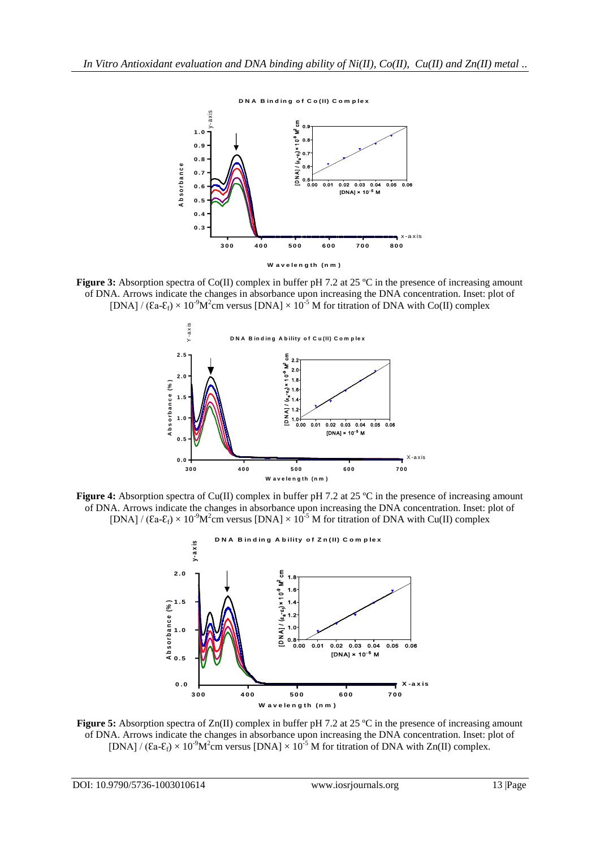

**W a v e le n g th (n m )**

**Figure 3:** Absorption spectra of Co(II) complex in buffer pH 7.2 at 25 °C in the presence of increasing amount of DNA. Arrows indicate the changes in absorbance upon increasing the DNA concentration. Inset: plot of [DNA] /  $(Ca-E_f) \times 10^{-9}M^2$ cm versus [DNA]  $\times 10^{-5}$  M for titration of DNA with Co(II) complex



**Figure 4:** Absorption spectra of Cu(II) complex in buffer pH 7.2 at 25 °C in the presence of increasing amount of DNA. Arrows indicate the changes in absorbance upon increasing the DNA concentration. Inset: plot of [DNA] /  $(\text{Ca-}\epsilon_f) \times 10^{-9} \text{M}^2$ cm versus [DNA]  $\times 10^{-5}$  M for titration of DNA with Cu(II) complex



**Figure 5:** Absorption spectra of Zn(II) complex in buffer pH 7.2 at 25 °C in the presence of increasing amount of DNA. Arrows indicate the changes in absorbance upon increasing the DNA concentration. Inset: plot of [DNA] / ( $\text{Ea-E}_f$ ) × 10<sup>-9</sup>M<sup>2</sup>cm versus [DNA] × 10<sup>-5</sup> M for titration of DNA with Zn(II) complex.